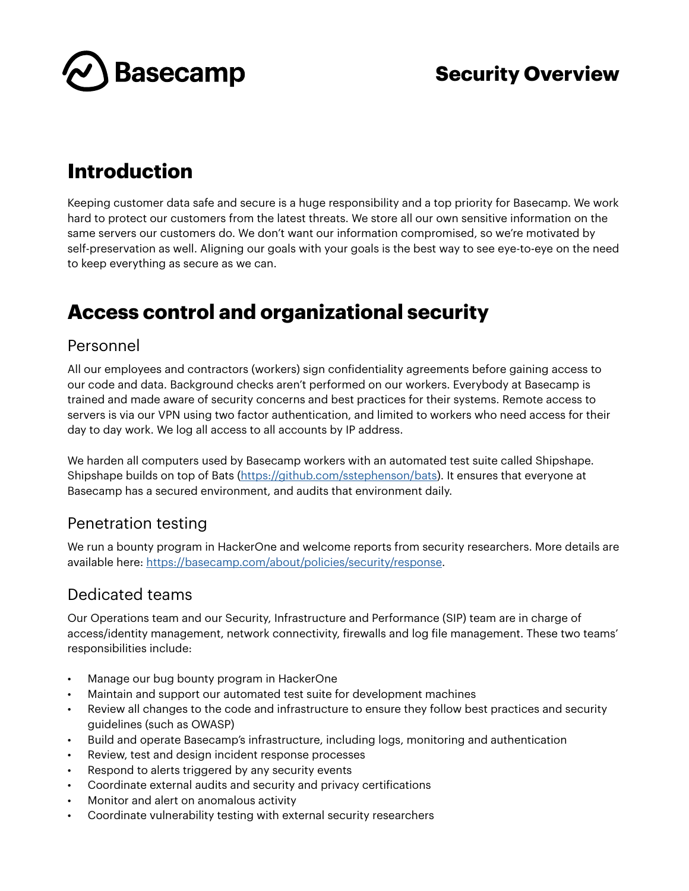

## **Introduction**

Keeping customer data safe and secure is a huge responsibility and a top priority for Basecamp. We work hard to protect our customers from the latest threats. We store all our own sensitive information on the same servers our customers do. We don't want our information compromised, so we're motivated by self-preservation as well. Aligning our goals with your goals is the best way to see eye-to-eye on the need to keep everything as secure as we can.

# **Access control and organizational security**

#### Personnel

All our employees and contractors (workers) sign confidentiality agreements before gaining access to our code and data. Background checks aren't performed on our workers. Everybody at Basecamp is trained and made aware of security concerns and best practices for their systems. Remote access to servers is via our VPN using two factor authentication, and limited to workers who need access for their day to day work. We log all access to all accounts by IP address.

We harden all computers used by Basecamp workers with an automated test suite called Shipshape. Shipshape builds on top of Bats [\(https://github.com/sstephenson/bats](https://github.com/sstephenson/bats)). It ensures that everyone at Basecamp has a secured environment, and audits that environment daily.

### Penetration testing

We run a bounty program in HackerOne and welcome reports from security researchers. More details are available here: [https://basecamp.com/about/policies/security/response.](https://basecamp.com/about/policies/security/response)

### Dedicated teams

Our Operations team and our Security, Infrastructure and Performance (SIP) team are in charge of access/identity management, network connectivity, firewalls and log file management. These two teams' responsibilities include:

- Manage our bug bounty program in HackerOne
- Maintain and support our automated test suite for development machines
- Review all changes to the code and infrastructure to ensure they follow best practices and security guidelines (such as OWASP)
- Build and operate Basecamp's infrastructure, including logs, monitoring and authentication
- Review, test and design incident response processes
- Respond to alerts triggered by any security events
- Coordinate external audits and security and privacy certifications
- Monitor and alert on anomalous activity
- Coordinate vulnerability testing with external security researchers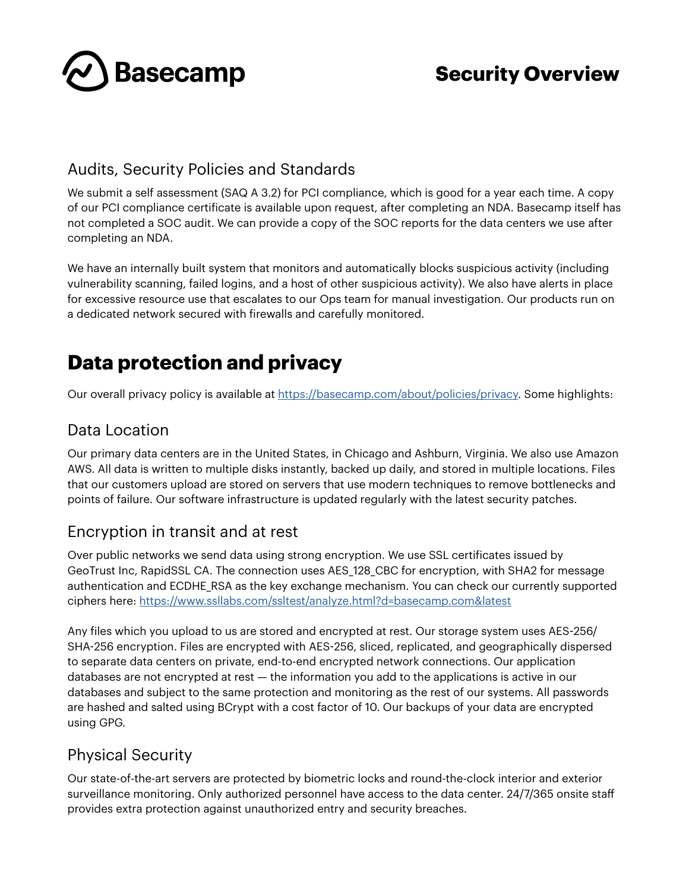

### Audits, Security Policies and Standards

We submit a self assessment (SAQ A 3.2) for PCI compliance, which is good for a year each time. A copy of our PCI compliance certificate is available upon request, after completing an NDA. Basecamp itself has not completed a SOC audit. We can provide a copy of the SOC reports for the data centers we use after completing an NDA.

We have an internally built system that monitors and automatically blocks suspicious activity (including vulnerability scanning, failed logins, and a host of other suspicious activity). We also have alerts in place for excessive resource use that escalates to our Ops team for manual investigation. Our products run on a dedicated network secured with firewalls and carefully monitored.

# **Data protection and privacy**

Our overall privacy policy is available at<https://basecamp.com/about/policies/privacy>. Some highlights:

### Data Location

Our primary data centers are in the United States, in Chicago and Ashburn, Virginia. We also use Amazon AWS. All data is written to multiple disks instantly, backed up daily, and stored in multiple locations. Files that our customers upload are stored on servers that use modern techniques to remove bottlenecks and points of failure. Our software infrastructure is updated regularly with the latest security patches.

### Encryption in transit and at rest

Over public networks we send data using strong encryption. We use SSL certificates issued by GeoTrust Inc, RapidSSL CA. The connection uses AES\_128\_CBC for encryption, with SHA2 for message authentication and ECDHE\_RSA as the key exchange mechanism. You can check our currently supported ciphers here: <https://www.ssllabs.com/ssltest/analyze.html?d=basecamp.com&latest>

Any files which you upload to us are stored and encrypted at rest. Our storage system uses AES-256/ SHA-256 encryption. Files are encrypted with AES-256, sliced, replicated, and geographically dispersed to separate data centers on private, end-to-end encrypted network connections. Our application databases are not encrypted at rest — the information you add to the applications is active in our databases and subject to the same protection and monitoring as the rest of our systems. All passwords are hashed and salted using BCrypt with a cost factor of 10. Our backups of your data are encrypted using GPG.

### Physical Security

Our state-of-the-art servers are protected by biometric locks and round-the-clock interior and exterior surveillance monitoring. Only authorized personnel have access to the data center. 24/7/365 onsite staff provides extra protection against unauthorized entry and security breaches.